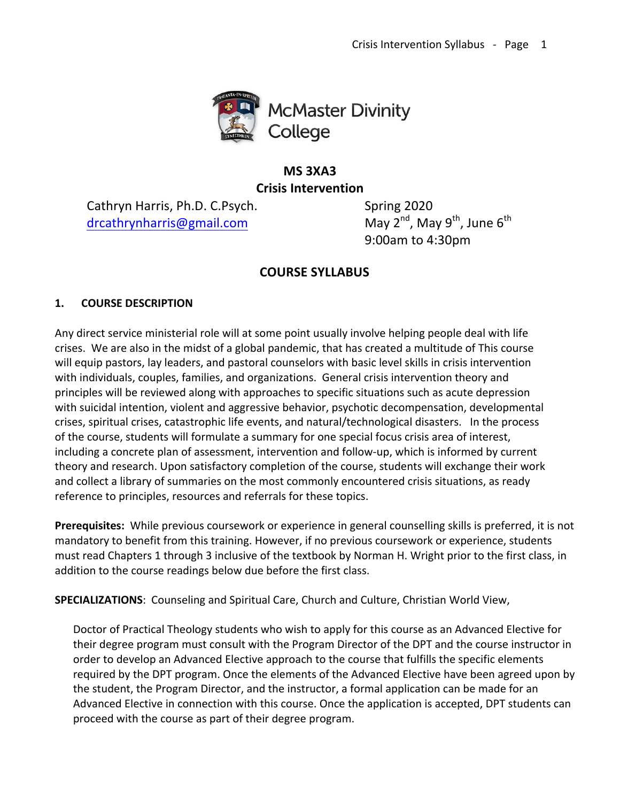

# **MS 3XA3 Crisis Intervention**

Cathryn Harris, Ph.D. C.Psych. Spring 2020 drcathrynharris@gmail.com May 2<sup>nd</sup>, May 9<sup>th</sup>, June 6<sup>th</sup>

9:00am to 4:30pm

# **COURSE SYLLABUS**

## **1. COURSE DESCRIPTION**

Any direct service ministerial role will at some point usually involve helping people deal with life crises. We are also in the midst of a global pandemic, that has created a multitude of This course will equip pastors, lay leaders, and pastoral counselors with basic level skills in crisis intervention with individuals, couples, families, and organizations. General crisis intervention theory and principles will be reviewed along with approaches to specific situations such as acute depression with suicidal intention, violent and aggressive behavior, psychotic decompensation, developmental crises, spiritual crises, catastrophic life events, and natural/technological disasters. In the process of the course, students will formulate a summary for one special focus crisis area of interest, including a concrete plan of assessment, intervention and follow-up, which is informed by current theory and research. Upon satisfactory completion of the course, students will exchange their work and collect a library of summaries on the most commonly encountered crisis situations, as ready reference to principles, resources and referrals for these topics.

**Prerequisites:** While previous coursework or experience in general counselling skills is preferred, it is not mandatory to benefit from this training. However, if no previous coursework or experience, students must read Chapters 1 through 3 inclusive of the textbook by Norman H. Wright prior to the first class, in addition to the course readings below due before the first class.

**SPECIALIZATIONS:** Counseling and Spiritual Care, Church and Culture, Christian World View,

Doctor of Practical Theology students who wish to apply for this course as an Advanced Elective for their degree program must consult with the Program Director of the DPT and the course instructor in order to develop an Advanced Elective approach to the course that fulfills the specific elements required by the DPT program. Once the elements of the Advanced Elective have been agreed upon by the student, the Program Director, and the instructor, a formal application can be made for an Advanced Elective in connection with this course. Once the application is accepted, DPT students can proceed with the course as part of their degree program.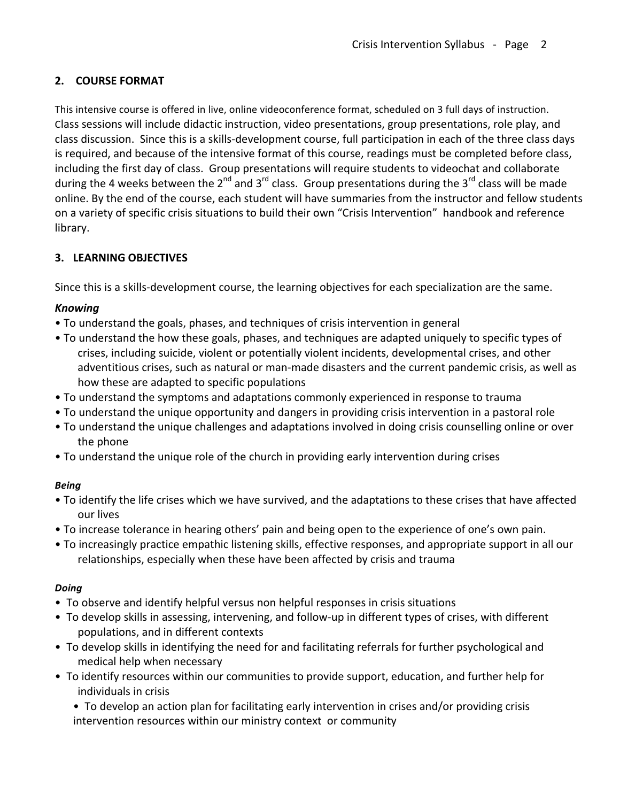# **2. COURSE FORMAT**

This intensive course is offered in live, online videoconference format, scheduled on 3 full days of instruction. Class sessions will include didactic instruction, video presentations, group presentations, role play, and class discussion. Since this is a skills-development course, full participation in each of the three class days is required, and because of the intensive format of this course, readings must be completed before class, including the first day of class. Group presentations will require students to videochat and collaborate during the 4 weeks between the  $2^{nd}$  and  $3^{rd}$  class. Group presentations during the  $3^{rd}$  class will be made online. By the end of the course, each student will have summaries from the instructor and fellow students on a variety of specific crisis situations to build their own "Crisis Intervention" handbook and reference library.

## **3. LEARNING OBJECTIVES**

Since this is a skills-development course, the learning objectives for each specialization are the same.

## *Knowing*

- To understand the goals, phases, and techniques of crisis intervention in general
- To understand the how these goals, phases, and techniques are adapted uniquely to specific types of crises, including suicide, violent or potentially violent incidents, developmental crises, and other adventitious crises, such as natural or man-made disasters and the current pandemic crisis, as well as how these are adapted to specific populations
- To understand the symptoms and adaptations commonly experienced in response to trauma
- To understand the unique opportunity and dangers in providing crisis intervention in a pastoral role
- To understand the unique challenges and adaptations involved in doing crisis counselling online or over the phone
- To understand the unique role of the church in providing early intervention during crises

## *Being*

- To identify the life crises which we have survived, and the adaptations to these crises that have affected our lives
- To increase tolerance in hearing others' pain and being open to the experience of one's own pain.
- To increasingly practice empathic listening skills, effective responses, and appropriate support in all our relationships, especially when these have been affected by crisis and trauma

## *Doing*

- To observe and identify helpful versus non helpful responses in crisis situations
- To develop skills in assessing, intervening, and follow-up in different types of crises, with different populations, and in different contexts
- To develop skills in identifying the need for and facilitating referrals for further psychological and medical help when necessary
- To identify resources within our communities to provide support, education, and further help for individuals in crisis

• To develop an action plan for facilitating early intervention in crises and/or providing crisis intervention resources within our ministry context or community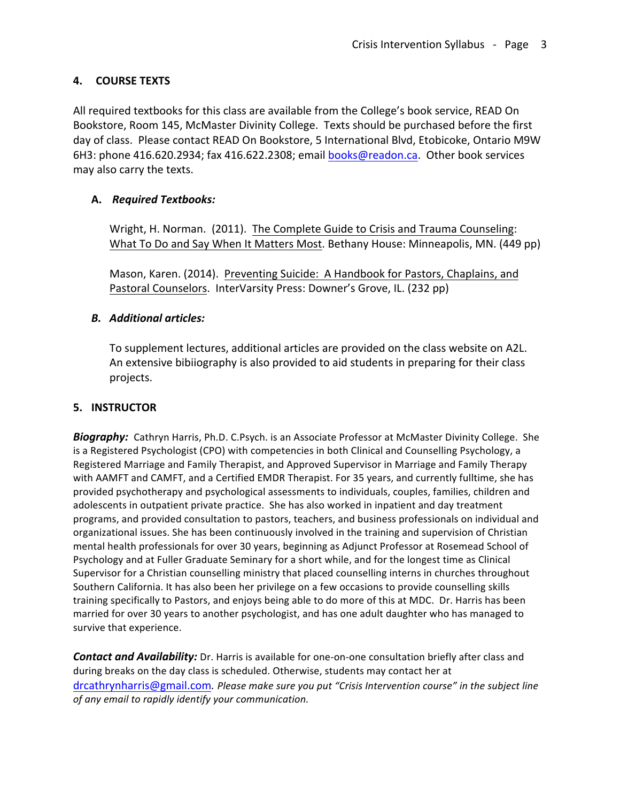## **4. COURSE TEXTS**

All required textbooks for this class are available from the College's book service, READ On Bookstore, Room 145, McMaster Divinity College. Texts should be purchased before the first day of class. Please contact READ On Bookstore, 5 International Blvd, Etobicoke, Ontario M9W 6H3: phone  $416.620.2934$ ; fax  $416.622.2308$ ; email books@readon.ca. Other book services may also carry the texts.

## **A.** *Required Textbooks:*

Wright, H. Norman. (2011). The Complete Guide to Crisis and Trauma Counseling: What To Do and Say When It Matters Most. Bethany House: Minneapolis, MN. (449 pp)

Mason, Karen. (2014). Preventing Suicide: A Handbook for Pastors, Chaplains, and Pastoral Counselors. InterVarsity Press: Downer's Grove, IL. (232 pp)

## *B. Additional articles:*

To supplement lectures, additional articles are provided on the class website on A2L. An extensive bibiiography is also provided to aid students in preparing for their class projects.

## **5. INSTRUCTOR**

**Biography:** Cathryn Harris, Ph.D. C.Psych. is an Associate Professor at McMaster Divinity College. She is a Registered Psychologist (CPO) with competencies in both Clinical and Counselling Psychology, a Registered Marriage and Family Therapist, and Approved Supervisor in Marriage and Family Therapy with AAMFT and CAMFT, and a Certified EMDR Therapist. For 35 years, and currently fulltime, she has provided psychotherapy and psychological assessments to individuals, couples, families, children and adolescents in outpatient private practice. She has also worked in inpatient and day treatment programs, and provided consultation to pastors, teachers, and business professionals on individual and organizational issues. She has been continuously involved in the training and supervision of Christian mental health professionals for over 30 years, beginning as Adjunct Professor at Rosemead School of Psychology and at Fuller Graduate Seminary for a short while, and for the longest time as Clinical Supervisor for a Christian counselling ministry that placed counselling interns in churches throughout Southern California. It has also been her privilege on a few occasions to provide counselling skills training specifically to Pastors, and enjoys being able to do more of this at MDC. Dr. Harris has been married for over 30 years to another psychologist, and has one adult daughter who has managed to survive that experience.

**Contact and Availability:** Dr. Harris is available for one-on-one consultation briefly after class and during breaks on the day class is scheduled. Otherwise, students may contact her at drcathrynharris@gmail.com. Please make sure you put "Crisis Intervention course" in the subject line of any email to rapidly identify your communication.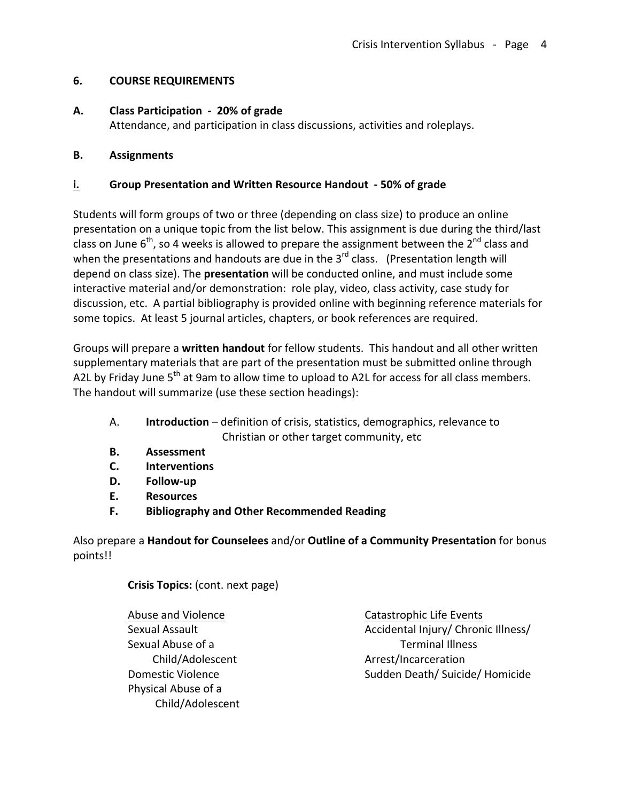## **6. COURSE REQUIREMENTS**

### A. Class Participation - 20% of grade

Attendance, and participation in class discussions, activities and roleplays.

### **B. Assignments**

### **i.** Group Presentation and Written Resource Handout - 50% of grade

Students will form groups of two or three (depending on class size) to produce an online presentation on a unique topic from the list below. This assignment is due during the third/last class on June  $6<sup>th</sup>$ , so 4 weeks is allowed to prepare the assignment between the  $2<sup>nd</sup>$  class and when the presentations and handouts are due in the  $3^{rd}$  class. (Presentation length will depend on class size). The **presentation** will be conducted online, and must include some interactive material and/or demonstration: role play, video, class activity, case study for discussion, etc. A partial bibliography is provided online with beginning reference materials for some topics. At least 5 journal articles, chapters, or book references are required.

Groups will prepare a written handout for fellow students. This handout and all other written supplementary materials that are part of the presentation must be submitted online through A2L by Friday June  $5<sup>th</sup>$  at 9am to allow time to upload to A2L for access for all class members. The handout will summarize (use these section headings):

- A. **Introduction** definition of crisis, statistics, demographics, relevance to Christian or other target community, etc
- **B. Assessment**
- **C. Interventions**
- **D. Follow-up**
- **E. Resources**
- **F. Bibliography and Other Recommended Reading**

Also prepare a Handout for Counselees and/or Outline of a Community Presentation for bonus points!!

**Crisis Topics:** (cont. next page)

Abuse and Violence Sexual Assault Sexual Abuse of a Child/Adolescent Domestic Violence Physical Abuse of a Child/Adolescent Catastrophic Life Events Accidental Injury/ Chronic Illness/ Terminal Illness Arrest/Incarceration Sudden Death/ Suicide/ Homicide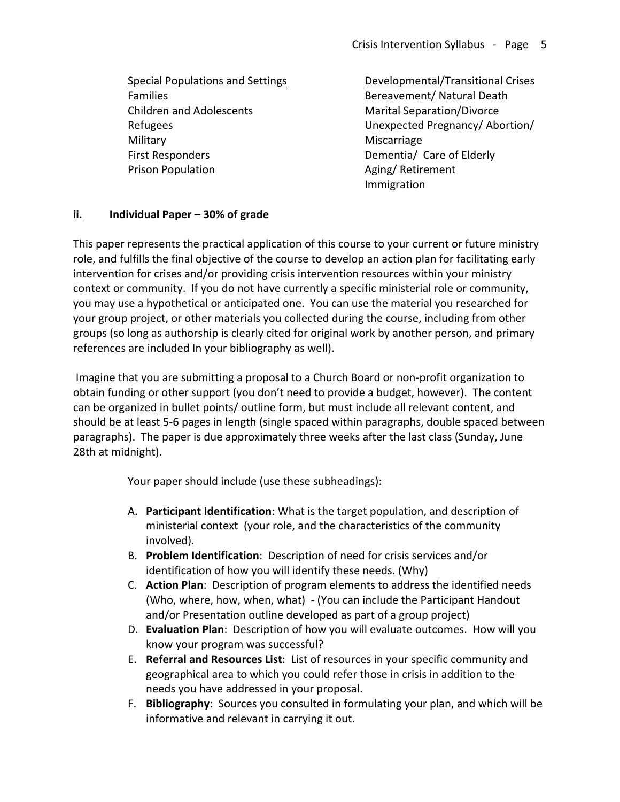Special Populations and Settings Families Children and Adolescents Refugees **Military** First Responders Prison Population

Developmental/Transitional Crises Bereavement/ Natural Death Marital Separation/Divorce Unexpected Pregnancy/ Abortion/ Miscarriage Dementia/ Care of Elderly Aging/ Retirement Immigration

### **ii. Individual Paper – 30% of grade**

This paper represents the practical application of this course to your current or future ministry role, and fulfills the final objective of the course to develop an action plan for facilitating early intervention for crises and/or providing crisis intervention resources within your ministry context or community. If you do not have currently a specific ministerial role or community, you may use a hypothetical or anticipated one. You can use the material you researched for your group project, or other materials you collected during the course, including from other groups (so long as authorship is clearly cited for original work by another person, and primary references are included In your bibliography as well).

Imagine that you are submitting a proposal to a Church Board or non-profit organization to obtain funding or other support (you don't need to provide a budget, however). The content can be organized in bullet points/ outline form, but must include all relevant content, and should be at least 5-6 pages in length (single spaced within paragraphs, double spaced between paragraphs). The paper is due approximately three weeks after the last class (Sunday, June 28th at midnight).

Your paper should include (use these subheadings):

- A. **Participant Identification**: What is the target population, and description of ministerial context (your role, and the characteristics of the community involved).
- B. **Problem Identification**: Description of need for crisis services and/or identification of how you will identify these needs. (Why)
- C. **Action Plan**: Description of program elements to address the identified needs (Who, where, how, when, what) - (You can include the Participant Handout and/or Presentation outline developed as part of a group project)
- D. **Evaluation Plan**: Description of how you will evaluate outcomes. How will you know your program was successful?
- E. **Referral and Resources List**: List of resources in your specific community and geographical area to which you could refer those in crisis in addition to the needs you have addressed in your proposal.
- F. Bibliography: Sources you consulted in formulating your plan, and which will be informative and relevant in carrying it out.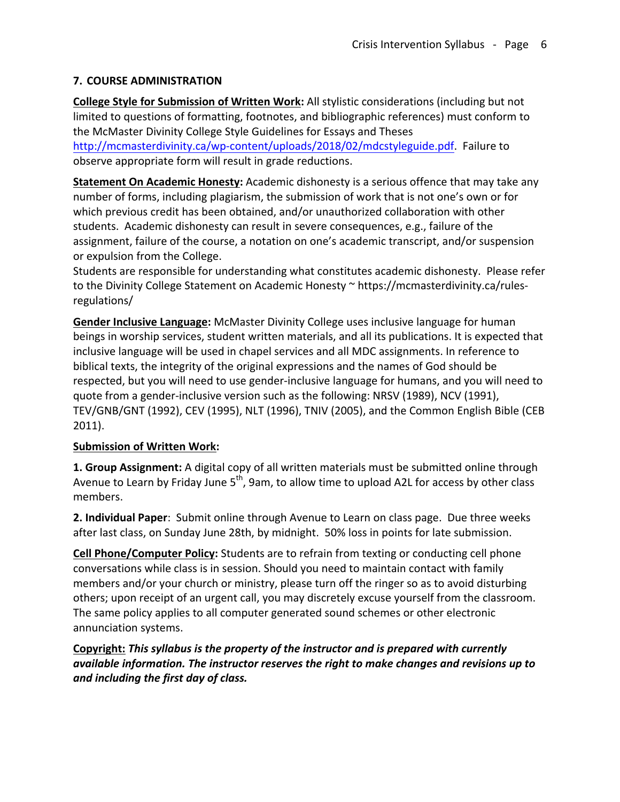## **7. COURSE ADMINISTRATION**

**College Style for Submission of Written Work:** All stylistic considerations (including but not limited to questions of formatting, footnotes, and bibliographic references) must conform to the McMaster Divinity College Style Guidelines for Essays and Theses

http://mcmasterdivinity.ca/wp-content/uploads/2018/02/mdcstyleguide.pdf. Failure to observe appropriate form will result in grade reductions.

**Statement On Academic Honesty:** Academic dishonesty is a serious offence that may take any number of forms, including plagiarism, the submission of work that is not one's own or for which previous credit has been obtained, and/or unauthorized collaboration with other students. Academic dishonesty can result in severe consequences, e.g., failure of the assignment, failure of the course, a notation on one's academic transcript, and/or suspension or expulsion from the College.

Students are responsible for understanding what constitutes academic dishonesty. Please refer to the Divinity College Statement on Academic Honesty ~ https://mcmasterdivinity.ca/rulesregulations/

**Gender Inclusive Language:** McMaster Divinity College uses inclusive language for human beings in worship services, student written materials, and all its publications. It is expected that inclusive language will be used in chapel services and all MDC assignments. In reference to biblical texts, the integrity of the original expressions and the names of God should be respected, but you will need to use gender-inclusive language for humans, and you will need to quote from a gender-inclusive version such as the following: NRSV (1989), NCV (1991), TEV/GNB/GNT (1992), CEV (1995), NLT (1996), TNIV (2005), and the Common English Bible (CEB 2011).

## **Submission of Written Work:**

**1. Group Assignment:** A digital copy of all written materials must be submitted online through Avenue to Learn by Friday June  $5<sup>th</sup>$ , 9am, to allow time to upload A2L for access by other class members. 

**2. Individual Paper**: Submit online through Avenue to Learn on class page. Due three weeks after last class, on Sunday June 28th, by midnight. 50% loss in points for late submission.

**Cell Phone/Computer Policy:** Students are to refrain from texting or conducting cell phone conversations while class is in session. Should you need to maintain contact with family members and/or your church or ministry, please turn off the ringer so as to avoid disturbing others; upon receipt of an urgent call, you may discretely excuse yourself from the classroom. The same policy applies to all computer generated sound schemes or other electronic annunciation systems.

Copyright: This syllabus is the property of the instructor and is prepared with currently *available information. The instructor reserves the right to make changes and revisions up to and including the first day of class.*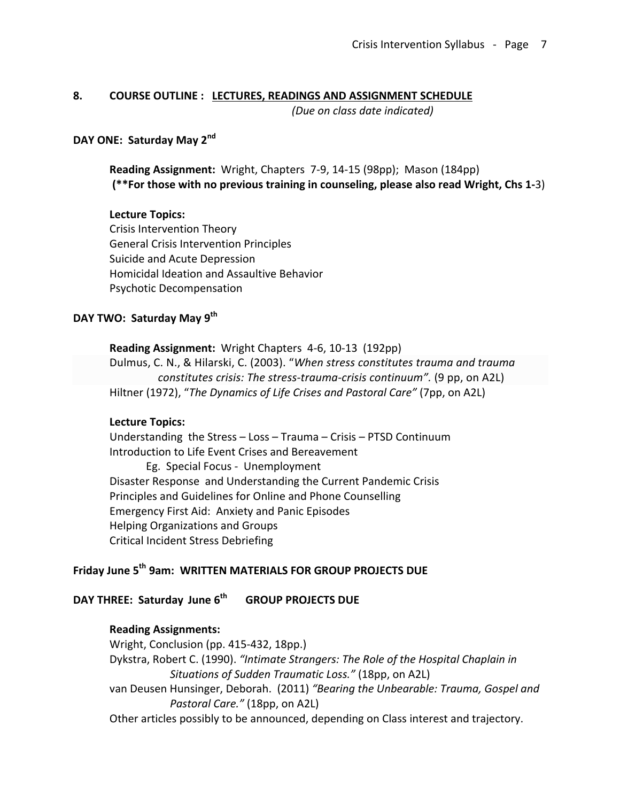### **8. COURSE OUTLINE : LECTURES, READINGS AND ASSIGNMENT SCHEDULE**

*(Due on class date indicated)* 

### **DAY ONE: Saturday May 2<sup>nd</sup>**

**Reading Assignment:** Wright, Chapters 7-9, 14-15 (98pp); Mason (184pp) (\*\*For those with no previous training in counseling, please also read Wright, Chs 1-3)

#### **Lecture Topics:**

Crisis Intervention Theory General Crisis Intervention Principles Suicide and Acute Depression Homicidal Ideation and Assaultive Behavior Psychotic Decompensation

## **DAY TWO: Saturday May 9th**

**Reading Assignment:** Wright Chapters 4-6, 10-13 (192pp) Dulmus, C. N., & Hilarski, C. (2003). "When stress constitutes trauma and trauma *constitutes crisis: The stress-trauma-crisis continuum".* (9 pp, on A2L) Hiltner (1972), "The Dynamics of Life Crises and Pastoral Care" (7pp, on A2L)

#### **Lecture Topics:**

Understanding the Stress  $-$  Loss  $-$  Trauma  $-$  Crisis  $-$  PTSD Continuum Introduction to Life Event Crises and Bereavement Eg. Special Focus - Unemployment Disaster Response and Understanding the Current Pandemic Crisis Principles and Guidelines for Online and Phone Counselling Emergency First Aid: Anxiety and Panic Episodes Helping Organizations and Groups Critical Incident Stress Debriefing

## Friday June 5<sup>th</sup> 9am: WRITTEN MATERIALS FOR GROUP PROJECTS DUE

**DAY THREE: Saturday June 6<sup>th</sup> GROUP PROJECTS DUE** 

#### **Reading Assignments:**

Wright, Conclusion (pp. 415-432, 18pp.) Dykstra, Robert C. (1990). "Intimate Strangers: The Role of the Hospital Chaplain in *Situations of Sudden Traumatic Loss."* (18pp, on A2L) van Deusen Hunsinger, Deborah. (2011) "Bearing the Unbearable: Trauma, Gospel and Pastoral Care." (18pp, on A2L) Other articles possibly to be announced, depending on Class interest and trajectory.